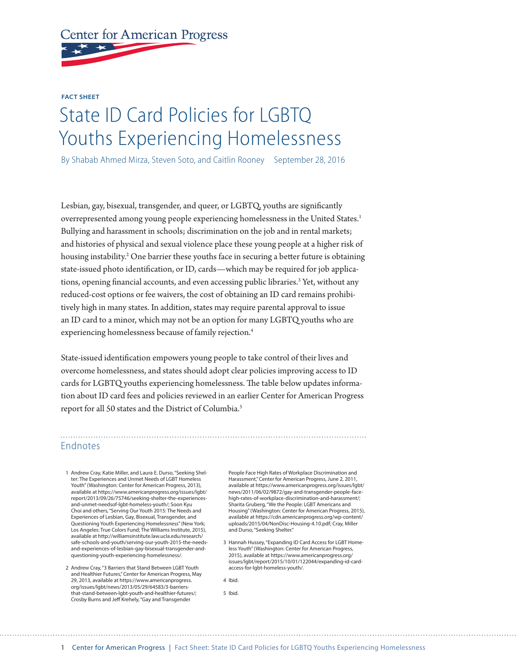## **Center for American Progress**

**FACT SHEET**

## State ID Card Policies for LGBTQ Youths Experiencing Homelessness

By Shabab Ahmed Mirza, Steven Soto, and Caitlin Rooney September 28, 2016

Lesbian, gay, bisexual, transgender, and queer, or LGBTQ, youths are significantly overrepresented among young people experiencing homelessness in the United States.1 Bullying and harassment in schools; discrimination on the job and in rental markets; and histories of physical and sexual violence place these young people at a higher risk of housing instability.<sup>2</sup> One barrier these youths face in securing a better future is obtaining state-issued photo identification, or ID, cards—which may be required for job applications, opening financial accounts, and even accessing public libraries.<sup>3</sup> Yet, without any reduced-cost options or fee waivers, the cost of obtaining an ID card remains prohibitively high in many states. In addition, states may require parental approval to issue an ID card to a minor, which may not be an option for many LGBTQ youths who are experiencing homelessness because of family rejection.4

State-issued identification empowers young people to take control of their lives and overcome homelessness, and states should adopt clear policies improving access to ID cards for LGBTQ youths experiencing homelessness. The table below updates information about ID card fees and policies reviewed in an earlier Center for American Progress report for all 50 states and the District of Columbia.5

## Endnotes

- 1 Andrew Cray, Katie Miller, and Laura E. Durso, "Seeking Shelter: The Experiences and Unmet Needs of LGBT Homeless Youth" (Washington: Center for American Progress, 2013), available at https://www.americanprogress.org/issues/lgbt/ report/2013/09/26/75746/seeking-shelter-the-experiencesand-unmet-needsof-lgbt-homeless-youth/; Soon Kyu Choi and others, "Serving Our Youth 2015: The Needs and Experiences of Lesbian, Gay, Bisexual, Transgender, and Questioning Youth Experiencing Homelessness" (New York; Los Angeles: True Colors Fund; The Williams Institute, 2015), available at http://williamsinstitute.law.ucla.edu/research/ safe-schools-and-youth/serving-our-youth-2015-the-needsand-experiences-of-lesbian-gay-bisexual-transgender-andquestioning-youth-experiencing-homelessness/.
- 2 Andrew Cray, "3 Barriers that Stand Between LGBT Youth and Healthier Futures," Center for American Progress, May 29, 2013, available at https://www.americanprogress. org/issues/lgbt/news/2013/05/29/64583/3-barriersthat-stand-between-lgbt-youth-and-healthier-futures/; Crosby Burns and Jeff Krehely, "Gay and Transgender

People Face High Rates of Workplace Discrimination and Harassment," Center for American Progress, June 2, 2011, available at [https://www.americanprogress.org/issues/lgbt/](https://www.americanprogress.org/issues/lgbt/news/2011/06/02/9872/gay-and-transgender-people-face-high-rates-of-workplace-discrimination-and-harassment/) [news/2011/06/02/9872/gay-and-transgender-people-face](https://www.americanprogress.org/issues/lgbt/news/2011/06/02/9872/gay-and-transgender-people-face-high-rates-of-workplace-discrimination-and-harassment/)[high-rates-of-workplace-discrimination-and-harassment/;](https://www.americanprogress.org/issues/lgbt/news/2011/06/02/9872/gay-and-transgender-people-face-high-rates-of-workplace-discrimination-and-harassment/) Sharita Gruberg, "We the People: LGBT Americans and Housing" (Washington: Center for American Progress, 2015), available at https://cdn.americanprogress.org/wp-content/ uploads/2015/04/NonDisc-Housing-4.10.pdf; Cray, Miller and Durso, "Seeking Shelter."

3 Hannah Hussey, "Expanding ID Card Access for LGBT Homeless Youth" (Washington: Center for American Progress, 2015), available at https://www.americanprogress.org/ issues/lgbt/report/2015/10/01/122044/expanding-id-cardaccess-for-lgbt-homeless-youth/.

4 Ibid.

5 Ibid.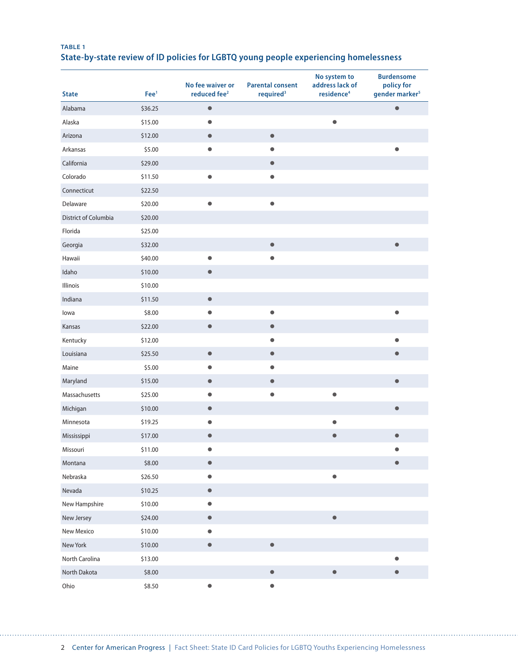## **TABLE 1 State-by-state review of ID policies for LGBTQ young people experiencing homelessness**

| <b>State</b>         | Fee <sup>1</sup> | No fee waiver or<br>reduced fee <sup>2</sup> | <b>Parental consent</b><br>required <sup>3</sup> | No system to<br>address lack of<br>residence <sup>4</sup> | <b>Burdensome</b><br>policy for<br>gender marker <sup>5</sup> |
|----------------------|------------------|----------------------------------------------|--------------------------------------------------|-----------------------------------------------------------|---------------------------------------------------------------|
| Alabama              | \$36.25          | $\bullet$                                    |                                                  |                                                           | $\bullet$                                                     |
| Alaska               | \$15.00          | $\bullet$                                    |                                                  | $\bullet$                                                 |                                                               |
| Arizona              | \$12.00          | $\bullet$                                    | $\qquad \qquad \bullet$                          |                                                           |                                                               |
| Arkansas             | \$5.00           | $\bullet$                                    | $\bullet$                                        |                                                           | $\bullet$                                                     |
| California           | \$29.00          |                                              | $\bullet$                                        |                                                           |                                                               |
| Colorado             | \$11.50          | 0                                            | $\bullet$                                        |                                                           |                                                               |
| Connecticut          | \$22.50          |                                              |                                                  |                                                           |                                                               |
| Delaware             | \$20.00          | $\bullet$                                    | $\bullet$                                        |                                                           |                                                               |
| District of Columbia | \$20.00          |                                              |                                                  |                                                           |                                                               |
| Florida              | \$25.00          |                                              |                                                  |                                                           |                                                               |
| Georgia              | \$32.00          |                                              | $\bullet$                                        |                                                           | $\bullet$                                                     |
| Hawaii               | \$40.00          | $\bullet$                                    | $\bullet$                                        |                                                           |                                                               |
| Idaho                | \$10.00          | $\bullet$                                    |                                                  |                                                           |                                                               |
| Illinois             | \$10.00          |                                              |                                                  |                                                           |                                                               |
| Indiana              | \$11.50          | $\bullet$                                    |                                                  |                                                           |                                                               |
| lowa                 | \$8.00           | $\bullet$                                    | $\bullet$                                        |                                                           | $\bullet$                                                     |
| Kansas               | \$22.00          | $\bullet$                                    | $\bullet$                                        |                                                           |                                                               |
| Kentucky             | \$12.00          |                                              | $\bullet$                                        |                                                           | $\bullet$                                                     |
| Louisiana            | \$25.50          | $\qquad \qquad \bullet$                      | $\qquad \qquad \bullet$                          |                                                           | $\bullet$                                                     |
| Maine                | \$5.00           | $\bullet$                                    | $\bullet$                                        |                                                           |                                                               |
| Maryland             | \$15.00          | $\bullet$                                    | $\bullet$                                        |                                                           | $\bullet$                                                     |
| Massachusetts        | \$25.00          | $\bullet$                                    | $\bullet$                                        | $\bullet$                                                 |                                                               |
| Michigan             | \$10.00          | $\bullet$                                    |                                                  |                                                           | $\bullet$                                                     |
| Minnesota            | \$19.25          | $\bullet$                                    |                                                  | $\bullet$                                                 |                                                               |
| Mississippi          | \$17.00          | $\bullet$                                    |                                                  | $\bullet$                                                 | $\bullet$                                                     |
| Missouri             | \$11.00          | $\bullet$                                    |                                                  |                                                           |                                                               |
| Montana              | \$8.00           | $\bullet$                                    |                                                  |                                                           | $\bullet$                                                     |
| Nebraska             | \$26.50          | $\bullet$                                    |                                                  | $\bullet$                                                 |                                                               |
| Nevada               | \$10.25          | $\bullet$                                    |                                                  |                                                           |                                                               |
| New Hampshire        | \$10.00          | $\bullet$                                    |                                                  |                                                           |                                                               |
| New Jersey           | \$24.00          | $\bullet$                                    |                                                  | $\bullet$                                                 |                                                               |
| New Mexico           | \$10.00          | $\bullet$                                    |                                                  |                                                           |                                                               |
| New York             | \$10.00          | $\bullet$                                    | $\bullet$                                        |                                                           |                                                               |
| North Carolina       | \$13.00          |                                              |                                                  |                                                           | $\bullet$                                                     |
| North Dakota         | \$8.00           |                                              | $\bullet$                                        | $\bullet$                                                 | $\bullet$                                                     |
| Ohio                 | \$8.50           | $\bullet$                                    | $\bullet$                                        |                                                           |                                                               |

. . . . . . .